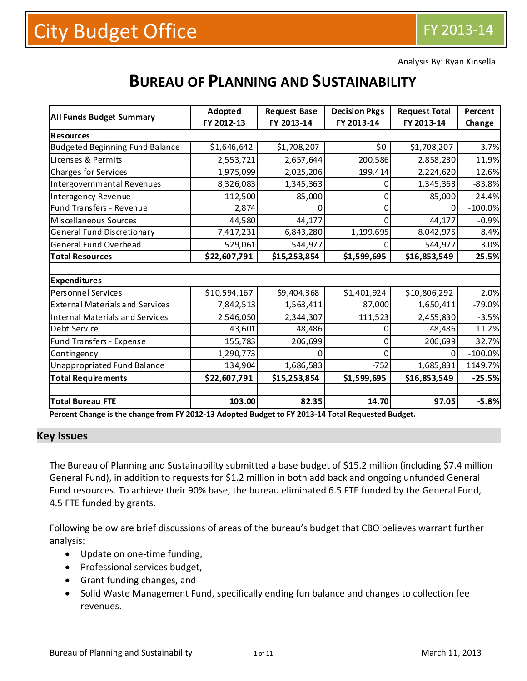Analysis By: Ryan Kinsella

# **BUREAU OF PLANNING AND SUSTAINABILITY**

|                                        | Adopted      | <b>Request Base</b> | <b>Decision Pkgs</b> | <b>Request Total</b> | Percent   |
|----------------------------------------|--------------|---------------------|----------------------|----------------------|-----------|
| <b>All Funds Budget Summary</b>        | FY 2012-13   | FY 2013-14          | FY 2013-14           | FY 2013-14           | Change    |
| <b>Resources</b>                       |              |                     |                      |                      |           |
| Budgeted Beginning Fund Balance        | \$1,646,642  | \$1,708,207         | \$0                  | \$1,708,207          | 3.7%      |
| Licenses & Permits                     | 2,553,721    | 2,657,644           | 200,586              | 2,858,230            | 11.9%     |
| Charges for Services                   | 1,975,099    | 2,025,206           | 199,414              | 2,224,620            | 12.6%     |
| Intergovernmental Revenues             | 8,326,083    | 1,345,363           | 0                    | 1,345,363            | $-83.8%$  |
| Interagency Revenue                    | 112,500      | 85,000              | 0                    | 85,000               | $-24.4%$  |
| Fund Transfers - Revenue               | 2,874        |                     | 0                    | 0                    | $-100.0%$ |
| Miscellaneous Sources                  | 44,580       | 44,177              | 0                    | 44,177               | $-0.9%$   |
| General Fund Discretionary             | 7,417,231    | 6,843,280           | 1,199,695            | 8,042,975            | 8.4%      |
| General Fund Overhead                  | 529,061      | 544,977             | 0                    | 544,977              | 3.0%      |
| <b>Total Resources</b>                 | \$22,607,791 | \$15,253,854        | \$1,599,695          | \$16,853,549         | $-25.5%$  |
|                                        |              |                     |                      |                      |           |
| <b>Expenditures</b>                    |              |                     |                      |                      |           |
| Personnel Services                     | \$10,594,167 | \$9,404,368         | \$1,401,924          | \$10,806,292         | 2.0%      |
| <b>External Materials and Services</b> | 7,842,513    | 1,563,411           | 87,000               | 1,650,411            | $-79.0%$  |
| Internal Materials and Services        | 2,546,050    | 2,344,307           | 111,523              | 2,455,830            | $-3.5%$   |
| Debt Service                           | 43,601       | 48,486              |                      | 48,486               | 11.2%     |
| Fund Transfers - Expense               | 155,783      | 206,699             | O                    | 206,699              | 32.7%     |
| Contingency                            | 1,290,773    |                     |                      | 0                    | $-100.0%$ |
| Unappropriated Fund Balance            | 134,904      | 1,686,583           | $-752$               | 1,685,831            | 1149.7%   |
| <b>Total Requirements</b>              | \$22,607,791 | \$15,253,854        | \$1,599,695          | \$16,853,549         | $-25.5%$  |
|                                        |              |                     |                      |                      |           |
| <b>Total Bureau FTE</b>                | 103.00       | 82.35               | 14.70                | 97.05                | $-5.8%$   |

Percent Change is the change from FY 2012-13 Adopted Budget to FY 2013-14 Total Requested Budget.

#### **Key Issues**

The Bureau of Planning and Sustainability submitted a base budget of \$15.2 million (including \$7.4 million General Fund), in addition to requests for \$1.2 million in both add back and ongoing unfunded General Fund resources. To achieve their 90% base, the bureau eliminated 6.5 FTE funded by the General Fund, 4.5 FTE funded by grants.

Following below are brief discussions of areas of the bureau's budget that CBO believes warrant further analysis:

- Update on one-time funding,
- Professional services budget,
- Grant funding changes, and
- Solid Waste Management Fund, specifically ending fun balance and changes to collection fee revenues.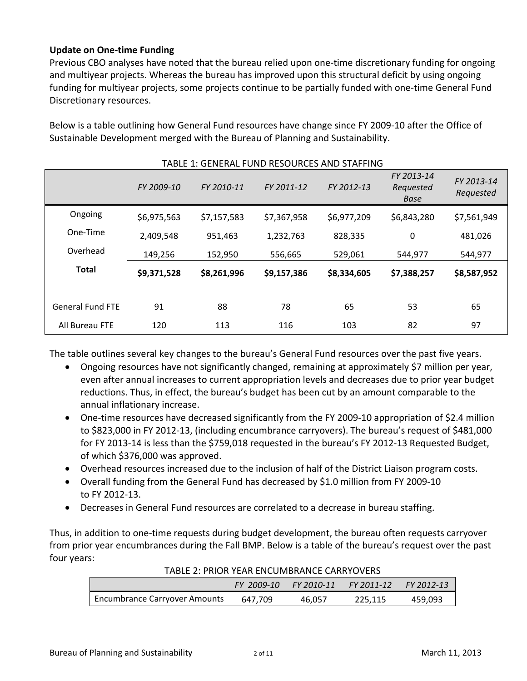### **Update on One‐time Funding**

Previous CBO analyses have noted that the bureau relied upon one‐time discretionary funding for ongoing and multiyear projects. Whereas the bureau has improved upon this structural deficit by using ongoing funding for multiyear projects, some projects continue to be partially funded with one‐time General Fund Discretionary resources.

| TABLE 1: GENERAL FUND RESOURCES AND STAFFING |             |             |             |             |                                        |                         |  |  |  |
|----------------------------------------------|-------------|-------------|-------------|-------------|----------------------------------------|-------------------------|--|--|--|
|                                              | FY 2009-10  | FY 2010-11  | FY 2011-12  | FY 2012-13  | FY 2013-14<br>Requested<br><b>Base</b> | FY 2013-14<br>Requested |  |  |  |
| Ongoing                                      | \$6,975,563 | \$7,157,583 | \$7,367,958 | \$6,977,209 | \$6,843,280                            | \$7,561,949             |  |  |  |
| One-Time                                     | 2,409,548   | 951,463     | 1,232,763   | 828,335     | 0                                      | 481,026                 |  |  |  |
| Overhead                                     | 149,256     | 152,950     | 556,665     | 529,061     | 544,977                                | 544,977                 |  |  |  |
| <b>Total</b>                                 | \$9,371,528 | \$8,261,996 | \$9,157,386 | \$8,334,605 | \$7,388,257                            | \$8,587,952             |  |  |  |
| <b>General Fund FTE</b>                      | 91          | 88          | 78          | 65          | 53                                     | 65                      |  |  |  |
| All Bureau FTE                               | 120         | 113         | 116         | 103         | 82                                     | 97                      |  |  |  |

Below is a table outlining how General Fund resources have change since FY 2009‐10 after the Office of Sustainable Development merged with the Bureau of Planning and Sustainability.

The table outlines several key changes to the bureau's General Fund resources over the past five years.

- Ongoing resources have not significantly changed, remaining at approximately \$7 million per year, even after annual increases to current appropriation levels and decreases due to prior year budget reductions. Thus, in effect, the bureau's budget has been cut by an amount comparable to the annual inflationary increase.
- One-time resources have decreased significantly from the FY 2009-10 appropriation of \$2.4 million to \$823,000 in FY 2012‐13, (including encumbrance carryovers). The bureau's request of \$481,000 for FY 2013‐14 is less than the \$759,018 requested in the bureau's FY 2012‐13 Requested Budget, of which \$376,000 was approved.
- Overhead resources increased due to the inclusion of half of the District Liaison program costs.
- Overall funding from the General Fund has decreased by \$1.0 million from FY 2009‐10 to FY 2012‐13.
- Decreases in General Fund resources are correlated to a decrease in bureau staffing.

Thus, in addition to one‐time requests during budget development, the bureau often requests carryover from prior year encumbrances during the Fall BMP. Below is a table of the bureau's request over the past four years:

|                                      | FY 2009-10 |        | FY 2010-11 FY 2011-12 FY 2012-13 |         |
|--------------------------------------|------------|--------|----------------------------------|---------|
| <b>Encumbrance Carryover Amounts</b> | 647.709    | 46.057 | 225.115                          | 459,093 |

TABLE 2: PRIOR YEAR ENCUMBRANCE CARRYOVERS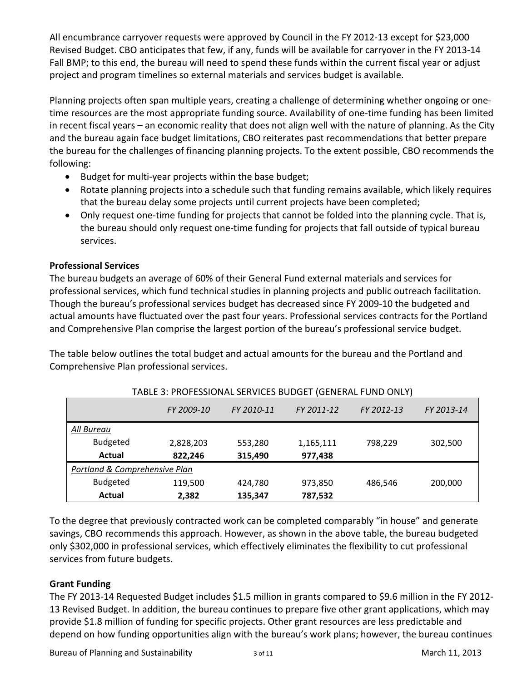All encumbrance carryover requests were approved by Council in the FY 2012‐13 except for \$23,000 Revised Budget. CBO anticipates that few, if any, funds will be available for carryover in the FY 2013‐14 Fall BMP; to this end, the bureau will need to spend these funds within the current fiscal year or adjust project and program timelines so external materials and services budget is available.

Planning projects often span multiple years, creating a challenge of determining whether ongoing or one‐ time resources are the most appropriate funding source. Availability of one-time funding has been limited in recent fiscal years – an economic reality that does not align well with the nature of planning. As the City and the bureau again face budget limitations, CBO reiterates past recommendations that better prepare the bureau for the challenges of financing planning projects. To the extent possible, CBO recommends the following:

- Budget for multi-year projects within the base budget;
- Rotate planning projects into a schedule such that funding remains available, which likely requires that the bureau delay some projects until current projects have been completed;
- Only request one-time funding for projects that cannot be folded into the planning cycle. That is, the bureau should only request one‐time funding for projects that fall outside of typical bureau services.

## **Professional Services**

The bureau budgets an average of 60% of their General Fund external materials and services for professional services, which fund technical studies in planning projects and public outreach facilitation. Though the bureau's professional services budget has decreased since FY 2009‐10 the budgeted and actual amounts have fluctuated over the past four years. Professional services contracts for the Portland and Comprehensive Plan comprise the largest portion of the bureau's professional service budget.

The table below outlines the total budget and actual amounts for the bureau and the Portland and Comprehensive Plan professional services.

|                               | FY 2009-10 | FY 2010-11 | FY 2011-12 | FY 2012-13 | FY 2013-14 |  |  |  |  |  |
|-------------------------------|------------|------------|------------|------------|------------|--|--|--|--|--|
| All Bureau                    |            |            |            |            |            |  |  |  |  |  |
| <b>Budgeted</b>               | 2,828,203  | 553,280    | 1,165,111  | 798,229    | 302,500    |  |  |  |  |  |
| Actual                        | 822,246    | 315,490    | 977,438    |            |            |  |  |  |  |  |
| Portland & Comprehensive Plan |            |            |            |            |            |  |  |  |  |  |
| <b>Budgeted</b>               | 119,500    | 424,780    | 973,850    | 486.546    | 200,000    |  |  |  |  |  |
| Actual                        | 2,382      | 135,347    | 787,532    |            |            |  |  |  |  |  |

TABLE 3: PROFESSIONAL SERVICES BUDGET (GENERAL FUND ONLY)

To the degree that previously contracted work can be completed comparably "in house" and generate savings, CBO recommends this approach. However, as shown in the above table, the bureau budgeted only \$302,000 in professional services, which effectively eliminates the flexibility to cut professional services from future budgets.

## **Grant Funding**

The FY 2013-14 Requested Budget includes \$1.5 million in grants compared to \$9.6 million in the FY 2012-13 Revised Budget. In addition, the bureau continues to prepare five other grant applications, which may provide \$1.8 million of funding for specific projects. Other grant resources are less predictable and depend on how funding opportunities align with the bureau's work plans; however, the bureau continues

Bureau of Planning and Sustainability and the state of the state of March 11, 2013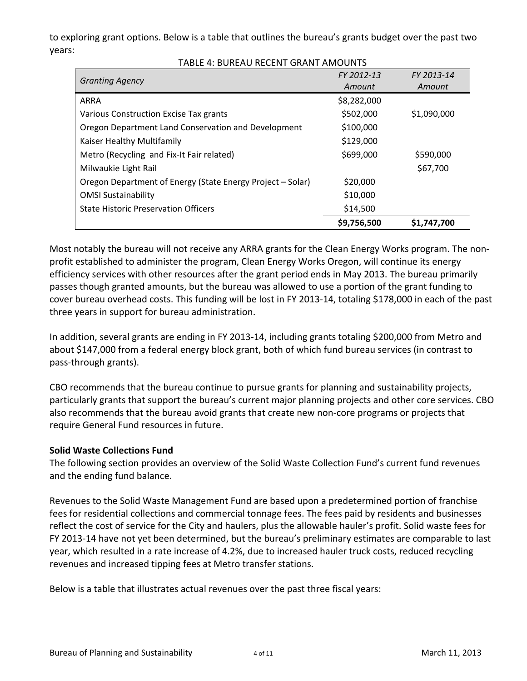to exploring grant options. Below is a table that outlines the bureau's grants budget over the past two years:

TABLE 4: BUREAU RECENT GRANT AMOUNTS

|                                                            | FY 2012-13  | FY 2013-14  |
|------------------------------------------------------------|-------------|-------------|
| <b>Granting Agency</b>                                     | Amount      | Amount      |
| <b>ARRA</b>                                                | \$8,282,000 |             |
| Various Construction Excise Tax grants                     | \$502,000   | \$1,090,000 |
| Oregon Department Land Conservation and Development        | \$100,000   |             |
| Kaiser Healthy Multifamily                                 | \$129,000   |             |
| Metro (Recycling and Fix-It Fair related)                  | \$699,000   | \$590,000   |
| Milwaukie Light Rail                                       |             | \$67,700    |
| Oregon Department of Energy (State Energy Project – Solar) | \$20,000    |             |
| <b>OMSI Sustainability</b>                                 | \$10,000    |             |
| <b>State Historic Preservation Officers</b>                | \$14,500    |             |
|                                                            | \$9,756,500 | \$1,747,700 |

Most notably the bureau will not receive any ARRA grants for the Clean Energy Works program. The non‐ profit established to administer the program, Clean Energy Works Oregon, will continue its energy efficiency services with other resources after the grant period ends in May 2013. The bureau primarily passes though granted amounts, but the bureau was allowed to use a portion of the grant funding to cover bureau overhead costs. This funding will be lost in FY 2013‐14, totaling \$178,000 in each of the past three years in support for bureau administration.

In addition, several grants are ending in FY 2013‐14, including grants totaling \$200,000 from Metro and about \$147,000 from a federal energy block grant, both of which fund bureau services (in contrast to pass‐through grants).

CBO recommends that the bureau continue to pursue grants for planning and sustainability projects, particularly grants that support the bureau's current major planning projects and other core services. CBO also recommends that the bureau avoid grants that create new non‐core programs or projects that require General Fund resources in future.

## **Solid Waste Collections Fund**

The following section provides an overview of the Solid Waste Collection Fund's current fund revenues and the ending fund balance.

Revenues to the Solid Waste Management Fund are based upon a predetermined portion of franchise fees for residential collections and commercial tonnage fees. The fees paid by residents and businesses reflect the cost of service for the City and haulers, plus the allowable hauler's profit. Solid waste fees for FY 2013-14 have not yet been determined, but the bureau's preliminary estimates are comparable to last year, which resulted in a rate increase of 4.2%, due to increased hauler truck costs, reduced recycling revenues and increased tipping fees at Metro transfer stations.

Below is a table that illustrates actual revenues over the past three fiscal years: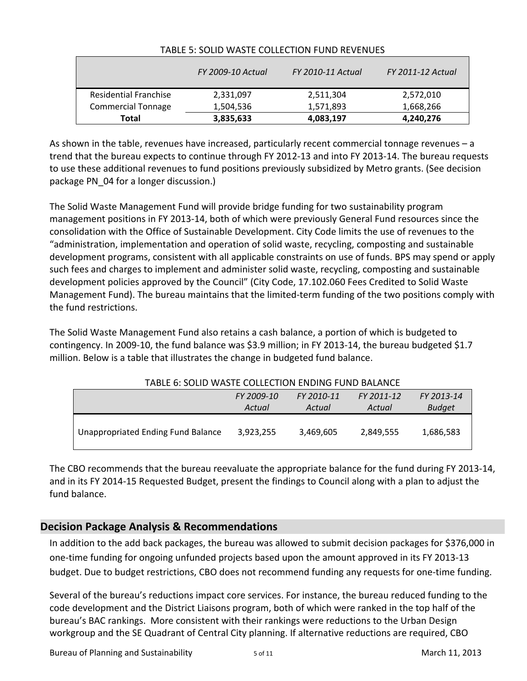|                              | <b>FY 2009-10 Actual</b> | FY 2010-11 Actual | <b>FY 2011-12 Actual</b> |
|------------------------------|--------------------------|-------------------|--------------------------|
| <b>Residential Franchise</b> | 2,331,097                | 2,511,304         | 2,572,010                |
| <b>Commercial Tonnage</b>    | 1,504,536                | 1,571,893         | 1,668,266                |
| Total                        | 3,835,633                | 4,083,197         | 4,240,276                |

#### TABLE 5: SOLID WASTE COLLECTION FUND REVENUES

As shown in the table, revenues have increased, particularly recent commercial tonnage revenues – a trend that the bureau expects to continue through FY 2012‐13 and into FY 2013‐14. The bureau requests to use these additional revenues to fund positions previously subsidized by Metro grants. (See decision package PN\_04 for a longer discussion.)

The Solid Waste Management Fund will provide bridge funding for two sustainability program management positions in FY 2013‐14, both of which were previously General Fund resources since the consolidation with the Office of Sustainable Development. City Code limits the use of revenues to the "administration, implementation and operation of solid waste, recycling, composting and sustainable development programs, consistent with all applicable constraints on use of funds. BPS may spend or apply such fees and charges to implement and administer solid waste, recycling, composting and sustainable development policies approved by the Council" (City Code, 17.102.060 Fees Credited to Solid Waste Management Fund). The bureau maintains that the limited‐term funding of the two positions comply with the fund restrictions.

The Solid Waste Management Fund also retains a cash balance, a portion of which is budgeted to contingency. In 2009-10, the fund balance was \$3.9 million; in FY 2013-14, the bureau budgeted \$1.7 million. Below is a table that illustrates the change in budgeted fund balance.

| TABLE 6: SOLID WASTE COLLECTION ENDING FUND BALANCE |                                        |           |           |           |  |  |  |  |  |  |
|-----------------------------------------------------|----------------------------------------|-----------|-----------|-----------|--|--|--|--|--|--|
|                                                     | FY 2009-10<br>FY 2011-12<br>FY 2010-11 |           |           |           |  |  |  |  |  |  |
|                                                     | <b>Budget</b>                          |           |           |           |  |  |  |  |  |  |
| Unappropriated Ending Fund Balance                  | 3.923.255                              | 3,469,605 | 2,849,555 | 1,686,583 |  |  |  |  |  |  |

The CBO recommends that the bureau reevaluate the appropriate balance for the fund during FY 2013‐14, and in its FY 2014‐15 Requested Budget, present the findings to Council along with a plan to adjust the fund balance.

## **Decision Package Analysis & Recommendations**

In addition to the add back packages, the bureau was allowed to submit decision packages for \$376,000 in one‐time funding for ongoing unfunded projects based upon the amount approved in its FY 2013‐13 budget. Due to budget restrictions, CBO does not recommend funding any requests for one-time funding.

Several of the bureau's reductions impact core services. For instance, the bureau reduced funding to the code development and the District Liaisons program, both of which were ranked in the top half of the bureau's BAC rankings. More consistent with their rankings were reductions to the Urban Design workgroup and the SE Quadrant of Central City planning. If alternative reductions are required, CBO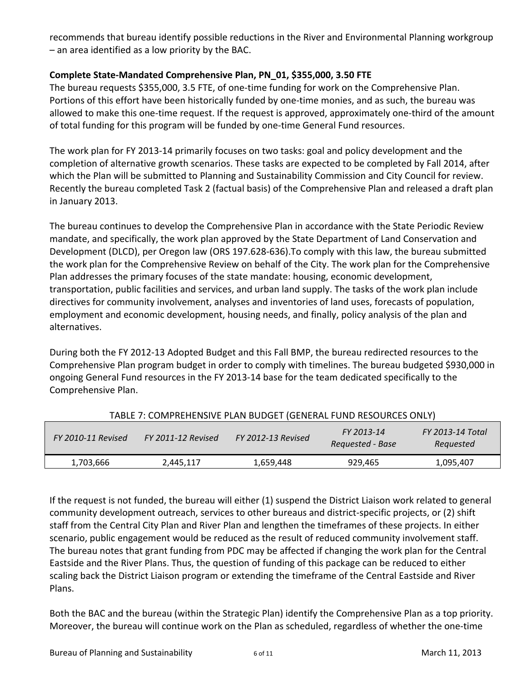recommends that bureau identify possible reductions in the River and Environmental Planning workgroup – an area identified as a low priority by the BAC.

### **Complete State‐Mandated Comprehensive Plan, PN\_01, \$355,000, 3.50 FTE**

The bureau requests \$355,000, 3.5 FTE, of one-time funding for work on the Comprehensive Plan. Portions of this effort have been historically funded by one‐time monies, and as such, the bureau was allowed to make this one-time request. If the request is approved, approximately one-third of the amount of total funding for this program will be funded by one‐time General Fund resources.

The work plan for FY 2013‐14 primarily focuses on two tasks: goal and policy development and the completion of alternative growth scenarios. These tasks are expected to be completed by Fall 2014, after which the Plan will be submitted to Planning and Sustainability Commission and City Council for review. Recently the bureau completed Task 2 (factual basis) of the Comprehensive Plan and released a draft plan in January 2013.

The bureau continues to develop the Comprehensive Plan in accordance with the State Periodic Review mandate, and specifically, the work plan approved by the State Department of Land Conservation and Development (DLCD), per Oregon law (ORS 197.628‐636).To comply with this law, the bureau submitted the work plan for the Comprehensive Review on behalf of the City. The work plan for the Comprehensive Plan addresses the primary focuses of the state mandate: housing, economic development, transportation, public facilities and services, and urban land supply. The tasks of the work plan include directives for community involvement, analyses and inventories of land uses, forecasts of population, employment and economic development, housing needs, and finally, policy analysis of the plan and alternatives.

During both the FY 2012‐13 Adopted Budget and this Fall BMP, the bureau redirected resources to the Comprehensive Plan program budget in order to comply with timelines. The bureau budgeted \$930,000 in ongoing General Fund resources in the FY 2013‐14 base for the team dedicated specifically to the Comprehensive Plan.

| FY 2010-11 Revised | <b>FY 2011-12 Revised</b> | FY 2012-13 Revised | FY 2013-14<br>Requested - Base | FY 2013-14 Total<br>Requested |
|--------------------|---------------------------|--------------------|--------------------------------|-------------------------------|
| 1,703,666          | 2,445,117                 | 1,659,448          | 929,465                        | 1,095,407                     |

If the request is not funded, the bureau will either (1) suspend the District Liaison work related to general community development outreach, services to other bureaus and district‐specific projects, or (2) shift staff from the Central City Plan and River Plan and lengthen the timeframes of these projects. In either scenario, public engagement would be reduced as the result of reduced community involvement staff. The bureau notes that grant funding from PDC may be affected if changing the work plan for the Central Eastside and the River Plans. Thus, the question of funding of this package can be reduced to either scaling back the District Liaison program or extending the timeframe of the Central Eastside and River Plans.

Both the BAC and the bureau (within the Strategic Plan) identify the Comprehensive Plan as a top priority. Moreover, the bureau will continue work on the Plan as scheduled, regardless of whether the one‐time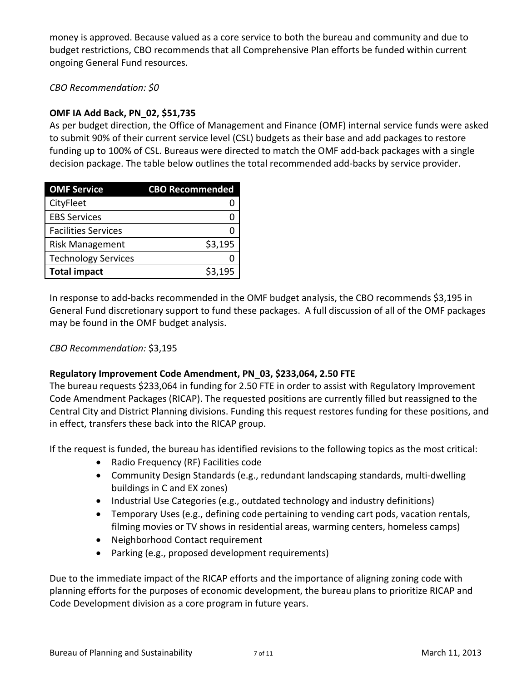money is approved. Because valued as a core service to both the bureau and community and due to budget restrictions, CBO recommends that all Comprehensive Plan efforts be funded within current ongoing General Fund resources.

*CBO Recommendation: \$0*

## **OMF IA Add Back, PN\_02, \$51,735**

As per budget direction, the Office of Management and Finance (OMF) internal service funds were asked to submit 90% of their current service level (CSL) budgets as their base and add packages to restore funding up to 100% of CSL. Bureaus were directed to match the OMF add‐back packages with a single decision package. The table below outlines the total recommended add‐backs by service provider.

| <b>OMF Service</b>         | <b>CBO Recommended</b> |
|----------------------------|------------------------|
| CityFleet                  |                        |
| <b>EBS Services</b>        |                        |
| <b>Facilities Services</b> |                        |
| <b>Risk Management</b>     | \$3,195                |
| <b>Technology Services</b> |                        |
| <b>Total impact</b>        | \$3,195                |

In response to add‐backs recommended in the OMF budget analysis, the CBO recommends \$3,195 in General Fund discretionary support to fund these packages. A full discussion of all of the OMF packages may be found in the OMF budget analysis.

*CBO Recommendation:* \$3,195

## **Regulatory Improvement Code Amendment, PN\_03, \$233,064, 2.50 FTE**

The bureau requests \$233,064 in funding for 2.50 FTE in order to assist with Regulatory Improvement Code Amendment Packages (RICAP). The requested positions are currently filled but reassigned to the Central City and District Planning divisions. Funding this request restores funding for these positions, and in effect, transfers these back into the RICAP group.

If the request is funded, the bureau has identified revisions to the following topics as the most critical:

- Radio Frequency (RF) Facilities code
- Community Design Standards (e.g., redundant landscaping standards, multi‐dwelling buildings in C and EX zones)
- Industrial Use Categories (e.g., outdated technology and industry definitions)
- Temporary Uses (e.g., defining code pertaining to vending cart pods, vacation rentals, filming movies or TV shows in residential areas, warming centers, homeless camps)
- Neighborhood Contact requirement
- Parking (e.g., proposed development requirements)

Due to the immediate impact of the RICAP efforts and the importance of aligning zoning code with planning efforts for the purposes of economic development, the bureau plans to prioritize RICAP and Code Development division as a core program in future years.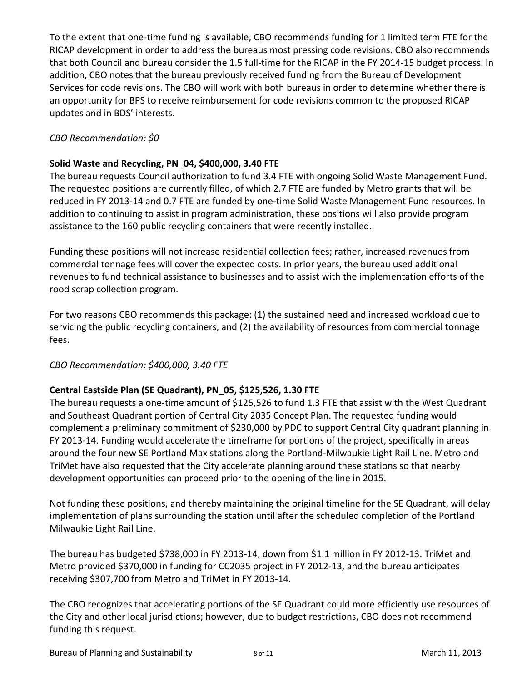To the extent that one‐time funding is available, CBO recommends funding for 1 limited term FTE for the RICAP development in order to address the bureaus most pressing code revisions. CBO also recommends that both Council and bureau consider the 1.5 full‐time for the RICAP in the FY 2014‐15 budget process. In addition, CBO notes that the bureau previously received funding from the Bureau of Development Services for code revisions. The CBO will work with both bureaus in order to determine whether there is an opportunity for BPS to receive reimbursement for code revisions common to the proposed RICAP updates and in BDS' interests.

## *CBO Recommendation: \$0*

## **Solid Waste and Recycling, PN\_04, \$400,000, 3.40 FTE**

The bureau requests Council authorization to fund 3.4 FTE with ongoing Solid Waste Management Fund. The requested positions are currently filled, of which 2.7 FTE are funded by Metro grants that will be reduced in FY 2013‐14 and 0.7 FTE are funded by one‐time Solid Waste Management Fund resources. In addition to continuing to assist in program administration, these positions will also provide program assistance to the 160 public recycling containers that were recently installed.

Funding these positions will not increase residential collection fees; rather, increased revenues from commercial tonnage fees will cover the expected costs. In prior years, the bureau used additional revenues to fund technical assistance to businesses and to assist with the implementation efforts of the rood scrap collection program.

For two reasons CBO recommends this package: (1) the sustained need and increased workload due to servicing the public recycling containers, and (2) the availability of resources from commercial tonnage fees.

## *CBO Recommendation: \$400,000, 3.40 FTE*

## **Central Eastside Plan (SE Quadrant), PN\_05, \$125,526, 1.30 FTE**

The bureau requests a one-time amount of \$125,526 to fund 1.3 FTE that assist with the West Quadrant and Southeast Quadrant portion of Central City 2035 Concept Plan. The requested funding would complement a preliminary commitment of \$230,000 by PDC to support Central City quadrant planning in FY 2013-14. Funding would accelerate the timeframe for portions of the project, specifically in areas around the four new SE Portland Max stations along the Portland‐Milwaukie Light Rail Line. Metro and TriMet have also requested that the City accelerate planning around these stations so that nearby development opportunities can proceed prior to the opening of the line in 2015.

Not funding these positions, and thereby maintaining the original timeline for the SE Quadrant, will delay implementation of plans surrounding the station until after the scheduled completion of the Portland Milwaukie Light Rail Line.

The bureau has budgeted \$738,000 in FY 2013‐14, down from \$1.1 million in FY 2012‐13. TriMet and Metro provided \$370,000 in funding for CC2035 project in FY 2012‐13, and the bureau anticipates receiving \$307,700 from Metro and TriMet in FY 2013‐14.

The CBO recognizes that accelerating portions of the SE Quadrant could more efficiently use resources of the City and other local jurisdictions; however, due to budget restrictions, CBO does not recommend funding this request.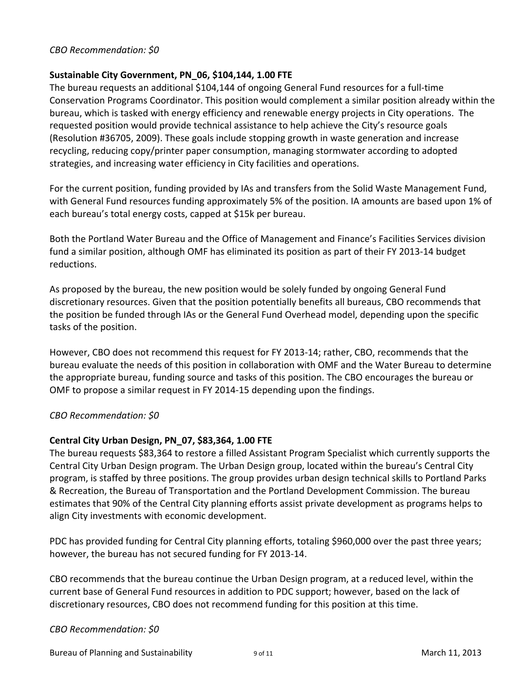#### *CBO Recommendation: \$0*

#### **Sustainable City Government, PN\_06, \$104,144, 1.00 FTE**

The bureau requests an additional \$104,144 of ongoing General Fund resources for a full‐time Conservation Programs Coordinator. This position would complement a similar position already within the bureau, which is tasked with energy efficiency and renewable energy projects in City operations. The requested position would provide technical assistance to help achieve the City's resource goals (Resolution #36705, 2009). These goals include stopping growth in waste generation and increase recycling, reducing copy/printer paper consumption, managing stormwater according to adopted strategies, and increasing water efficiency in City facilities and operations.

For the current position, funding provided by IAs and transfers from the Solid Waste Management Fund, with General Fund resources funding approximately 5% of the position. IA amounts are based upon 1% of each bureau's total energy costs, capped at \$15k per bureau.

Both the Portland Water Bureau and the Office of Management and Finance's Facilities Services division fund a similar position, although OMF has eliminated its position as part of their FY 2013‐14 budget reductions.

As proposed by the bureau, the new position would be solely funded by ongoing General Fund discretionary resources. Given that the position potentially benefits all bureaus, CBO recommends that the position be funded through IAs or the General Fund Overhead model, depending upon the specific tasks of the position.

However, CBO does not recommend this request for FY 2013‐14; rather, CBO, recommends that the bureau evaluate the needs of this position in collaboration with OMF and the Water Bureau to determine the appropriate bureau, funding source and tasks of this position. The CBO encourages the bureau or OMF to propose a similar request in FY 2014‐15 depending upon the findings.

*CBO Recommendation: \$0*

#### **Central City Urban Design, PN\_07, \$83,364, 1.00 FTE**

The bureau requests \$83,364 to restore a filled Assistant Program Specialist which currently supports the Central City Urban Design program. The Urban Design group, located within the bureau's Central City program, is staffed by three positions. The group provides urban design technical skills to Portland Parks & Recreation, the Bureau of Transportation and the Portland Development Commission. The bureau estimates that 90% of the Central City planning efforts assist private development as programs helps to align City investments with economic development.

PDC has provided funding for Central City planning efforts, totaling \$960,000 over the past three years; however, the bureau has not secured funding for FY 2013‐14.

CBO recommends that the bureau continue the Urban Design program, at a reduced level, within the current base of General Fund resources in addition to PDC support; however, based on the lack of discretionary resources, CBO does not recommend funding for this position at this time.

#### *CBO Recommendation: \$0*

Bureau of Planning and Sustainability **8.1.1 and Sustainability** 3 of 11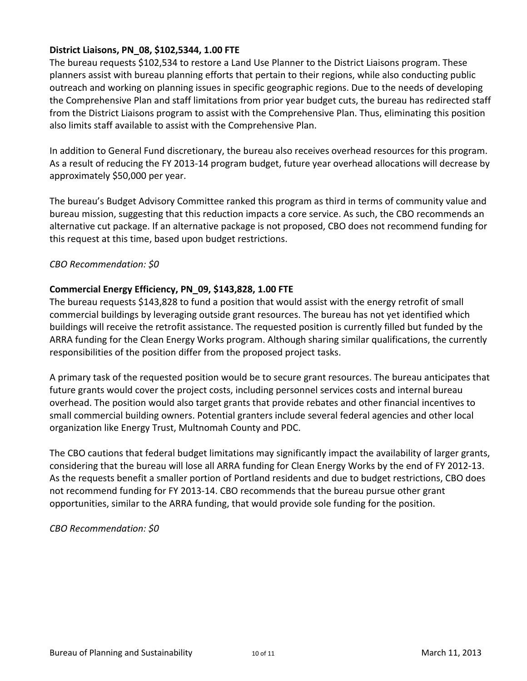#### **District Liaisons, PN\_08, \$102,5344, 1.00 FTE**

The bureau requests \$102,534 to restore a Land Use Planner to the District Liaisons program. These planners assist with bureau planning efforts that pertain to their regions, while also conducting public outreach and working on planning issues in specific geographic regions. Due to the needs of developing the Comprehensive Plan and staff limitations from prior year budget cuts, the bureau has redirected staff from the District Liaisons program to assist with the Comprehensive Plan. Thus, eliminating this position also limits staff available to assist with the Comprehensive Plan.

In addition to General Fund discretionary, the bureau also receives overhead resources for this program. As a result of reducing the FY 2013‐14 program budget, future year overhead allocations will decrease by approximately \$50,000 per year.

The bureau's Budget Advisory Committee ranked this program as third in terms of community value and bureau mission, suggesting that this reduction impacts a core service. As such, the CBO recommends an alternative cut package. If an alternative package is not proposed, CBO does not recommend funding for this request at this time, based upon budget restrictions.

#### *CBO Recommendation: \$0*

#### **Commercial Energy Efficiency, PN\_09, \$143,828, 1.00 FTE**

The bureau requests \$143,828 to fund a position that would assist with the energy retrofit of small commercial buildings by leveraging outside grant resources. The bureau has not yet identified which buildings will receive the retrofit assistance. The requested position is currently filled but funded by the ARRA funding for the Clean Energy Works program. Although sharing similar qualifications, the currently responsibilities of the position differ from the proposed project tasks.

A primary task of the requested position would be to secure grant resources. The bureau anticipates that future grants would cover the project costs, including personnel services costs and internal bureau overhead. The position would also target grants that provide rebates and other financial incentives to small commercial building owners. Potential granters include several federal agencies and other local organization like Energy Trust, Multnomah County and PDC.

The CBO cautions that federal budget limitations may significantly impact the availability of larger grants, considering that the bureau will lose all ARRA funding for Clean Energy Works by the end of FY 2012‐13. As the requests benefit a smaller portion of Portland residents and due to budget restrictions, CBO does not recommend funding for FY 2013‐14. CBO recommends that the bureau pursue other grant opportunities, similar to the ARRA funding, that would provide sole funding for the position.

*CBO Recommendation: \$0*